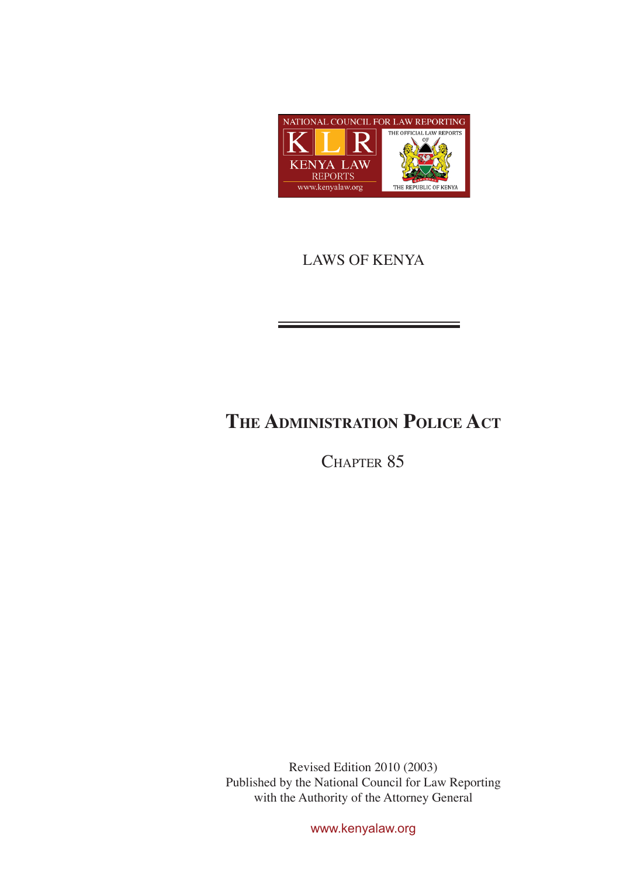

# LAWS OF KENYA

# **The Administration Police Act**

CHAPTER 85

Revised Edition 2010 (2003) Published by the National Council for Law Reporting with the Authority of the Attorney General

www.kenyalaw.org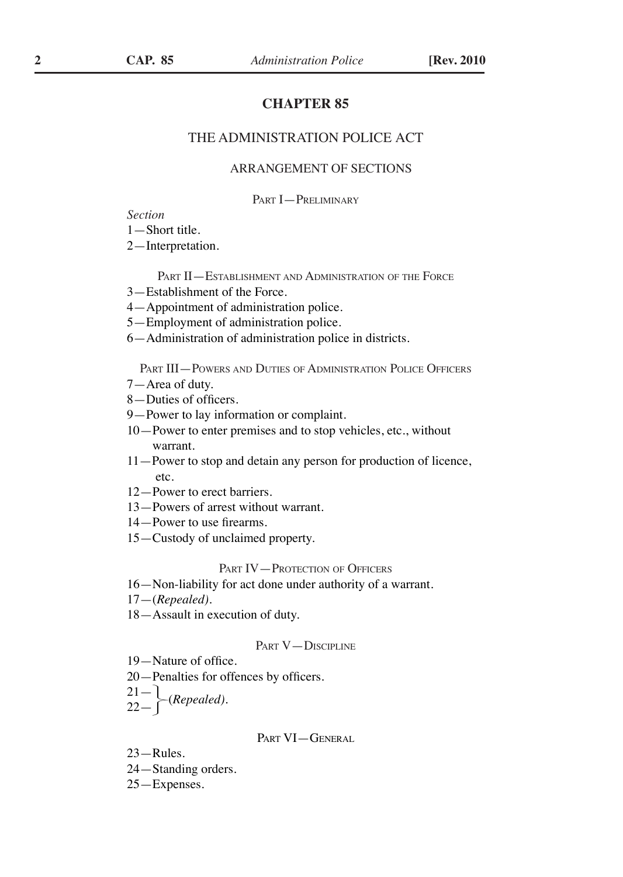# **CHAPTER 85**

## THE ADMINISTRATION POLICE ACT

## ARRANGEMENT OF SECTIONS

PART **I** - PRELIMINARY

#### *Section*

—Short title.

—Interpretation.

PART II—ESTABLISHMENT AND ADMINISTRATION OF THE FORCE

- —Establishment of the Force.
- —Appointment of administration police.
- —Employment of administration police.
- —Administration of administration police in districts.

Part III—Powers and Duties of Administration Police Officers

- —Area of duty.
- —Duties of officers.
- —Power to lay information or complaint.
- —Power to enter premises and to stop vehicles, etc., without warrant.
- —Power to stop and detain any person for production of licence, etc.
- —Power to erect barriers.
- —Powers of arrest without warrant.
- —Power to use firearms.
- —Custody of unclaimed property.

## PART IV—PROTECTION OF OFFICERS

- —Non-liability for act done under authority of a warrant.
- —(*Repealed)*.
- —Assault in execution of duty.

#### PART V-DISCIPLINE

- —Nature of office.
- —Penalties for offences by officers.
- <sup>22</sup> (*Repealed).*
	-

#### PART VI-GENERAL

- —Rules.
- —Standing orders.
- —Expenses.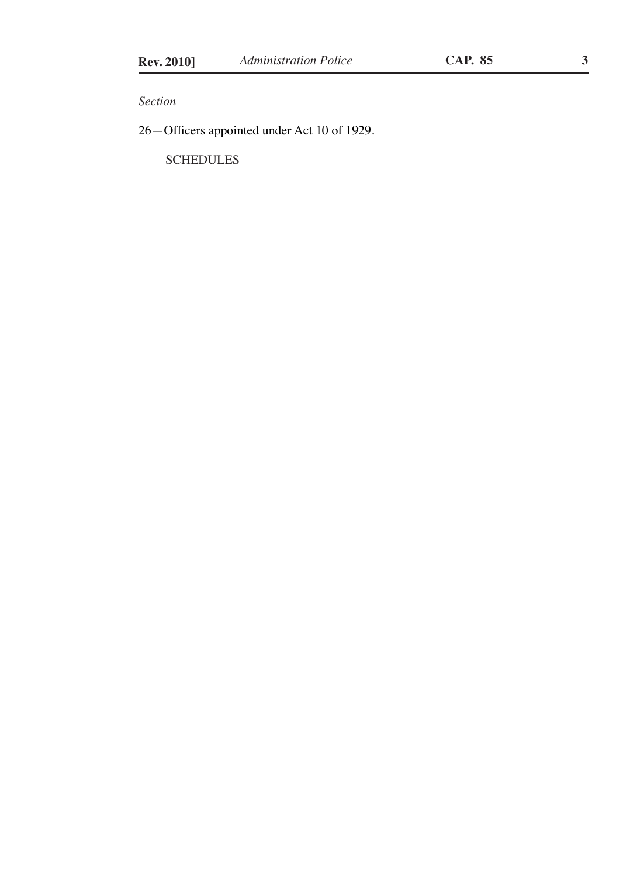*Section*

26—Officers appointed under Act 10 of 1929.

**SCHEDULES**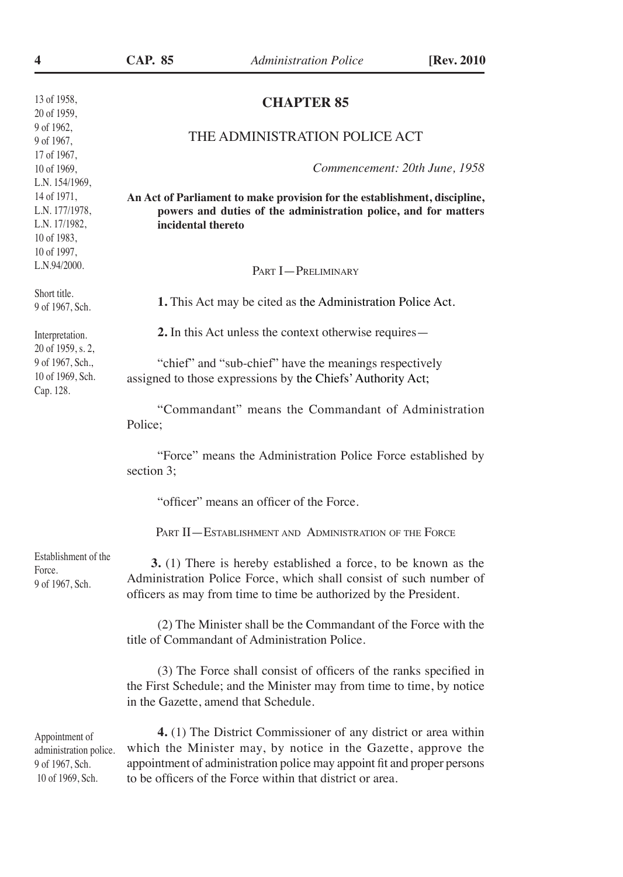| <b>CHAPTER 85</b> |  |
|-------------------|--|
|-------------------|--|

#### THE ADMINISTRATION POLICE ACT

*Commencement: 20th June, 1958*

**An Act of Parliament to make provision for the establishment, discipline, powers and duties of the administration police, and for matters incidental thereto**

Part I—Preliminary

**1.** This Act may be cited as the Administration Police Act.

assigned to those expressions by the Chiefs' Authority Act;

**2.** In this Act unless the context otherwise requires—

"chief" and "sub-chief" have the meanings respectively

Interpretation. 20 of 1959, s. 2, 9 of 1967, Sch.,

10 of 1969, Sch. Cap. 128.

Short title. 9 of 1967, Sch.

> "Commandant" means the Commandant of Administration Police;

> "Force" means the Administration Police Force established by section 3;

"officer" means an officer of the Force.

PART II — ESTABLISHMENT AND ADMINISTRATION OF THE FORCE

Establishment of the Force. 9 of 1967, Sch.

 **3.** (1) There is hereby established a force, to be known as the Administration Police Force, which shall consist of such number of officers as may from time to time be authorized by the President.

(2) The Minister shall be the Commandant of the Force with the title of Commandant of Administration Police.

(3) The Force shall consist of officers of the ranks specified in the First Schedule; and the Minister may from time to time, by notice in the Gazette, amend that Schedule.

Appointment of administration police. 9 of 1967, Sch. 10 of 1969, Sch.

**4.** (1) The District Commissioner of any district or area within which the Minister may, by notice in the Gazette, approve the appointment of administration police may appoint fit and proper persons to be officers of the Force within that district or area.

13 of 1958, 20 of 1959, 9 of 1962, 9 of 1967, 17 of 1967, 10 of 1969, L.N. 154/1969, 14 of 1971, L.N. 177/1978, L.N. 17/1982, 10 of 1983, 10 of 1997, L.N.94/2000.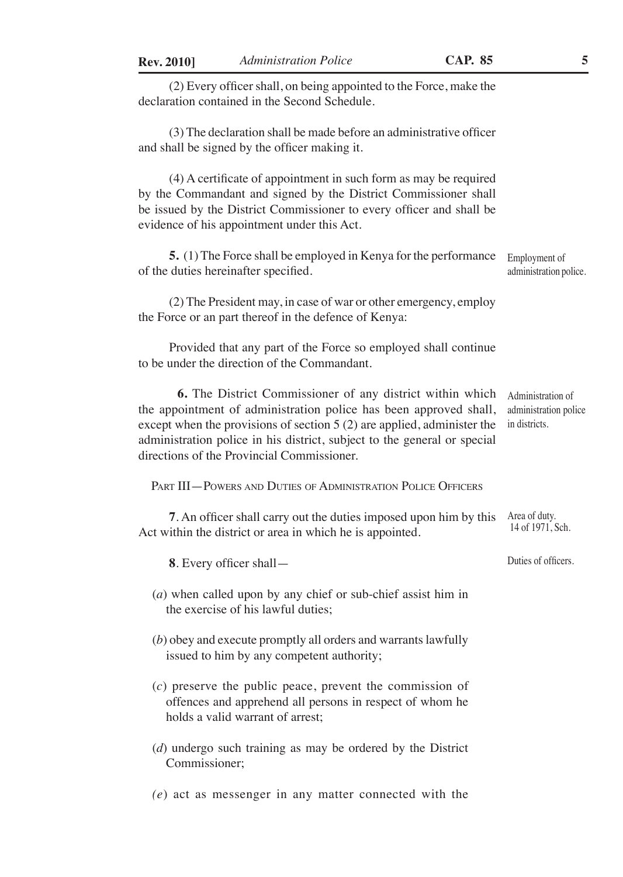(2) Every officer shall, on being appointed to the Force, make the declaration contained in the Second Schedule.

(3) The declaration shall be made before an administrative officer and shall be signed by the officer making it.

(4) A certificate of appointment in such form as may be required by the Commandant and signed by the District Commissioner shall be issued by the District Commissioner to every officer and shall be evidence of his appointment under this Act.

**5.** (1) The Force shall be employed in Kenya for the performance of the duties hereinafter specified. Employment of administration police.

(2) The President may, in case of war or other emergency, employ the Force or an part thereof in the defence of Kenya:

Provided that any part of the Force so employed shall continue to be under the direction of the Commandant.

**6.** The District Commissioner of any district within which the appointment of administration police has been approved shall, except when the provisions of section 5 (2) are applied, administer the indistricts. administration police in his district, subject to the general or special directions of the Provincial Commissioner. Administration of

Part III—Powers and Duties of Administration Police Officers

**7**. An officer shall carry out the duties imposed upon him by this Area of duty. Act within the district or area in which he is appointed. 14 of 1971, Sch.

**8**. Every officer shall—

(*a*) when called upon by any chief or sub-chief assist him in the exercise of his lawful duties;

- (*b*) obey and execute promptly all orders and warrants lawfully issued to him by any competent authority;
- (*c*) preserve the public peace, prevent the commission of offences and apprehend all persons in respect of whom he holds a valid warrant of arrest;
- (*d*) undergo such training as may be ordered by the District Commissioner;

*(e*) act as messenger in any matter connected with the

Duties of officers.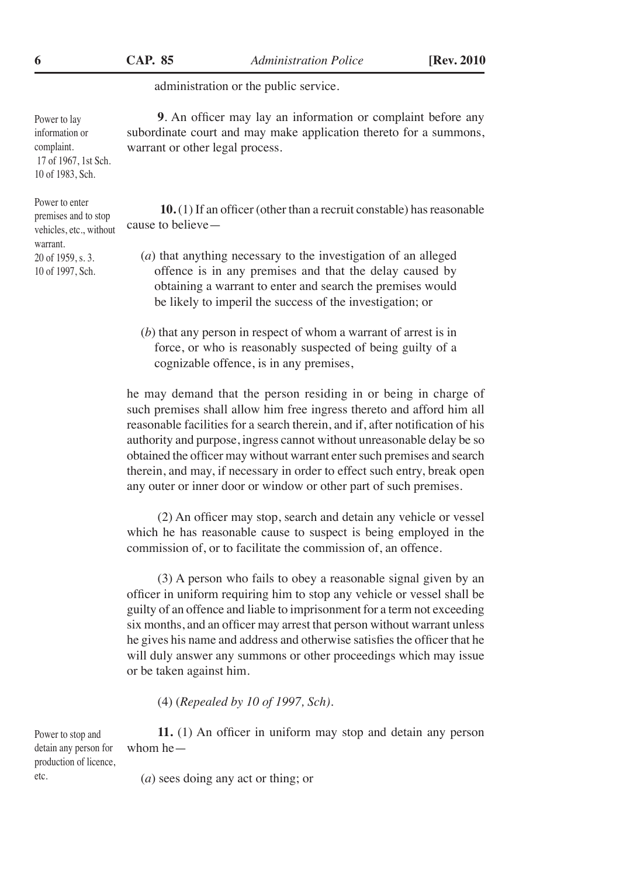administration or the public service.

**9**. An officer may lay an information or complaint before any subordinate court and may make application thereto for a summons, warrant or other legal process.

**10.** (1) If an officer (other than a recruit constable) has reasonable cause to believe—

- (*a*) that anything necessary to the investigation of an alleged offence is in any premises and that the delay caused by obtaining a warrant to enter and search the premises would be likely to imperil the success of the investigation; or
- (*b*) that any person in respect of whom a warrant of arrest is in force, or who is reasonably suspected of being guilty of a cognizable offence, is in any premises,

he may demand that the person residing in or being in charge of such premises shall allow him free ingress thereto and afford him all reasonable facilities for a search therein, and if, after notification of his authority and purpose, ingress cannot without unreasonable delay be so obtained the officer may without warrant enter such premises and search therein, and may, if necessary in order to effect such entry, break open any outer or inner door or window or other part of such premises.

(2) An officer may stop, search and detain any vehicle or vessel which he has reasonable cause to suspect is being employed in the commission of, or to facilitate the commission of, an offence.

(3) A person who fails to obey a reasonable signal given by an officer in uniform requiring him to stop any vehicle or vessel shall be guilty of an offence and liable to imprisonment for a term not exceeding six months, and an officer may arrest that person without warrant unless he gives his name and address and otherwise satisfies the officer that he will duly answer any summons or other proceedings which may issue or be taken against him.

(4) (*Repealed by 10 of 1997, Sch).*

**11.** (1) An officer in uniform may stop and detain any person whom he—

Power to stop and detain any person for production of licence, etc.

(*a*) sees doing any act or thing; or

information or complaint. 17 of 1967, 1st Sch. 10 of 1983, Sch. Power to enter

Power to lay

premises and to stop vehicles, etc., without warrant. 20 of 1959, s. 3. 10 of 1997, Sch.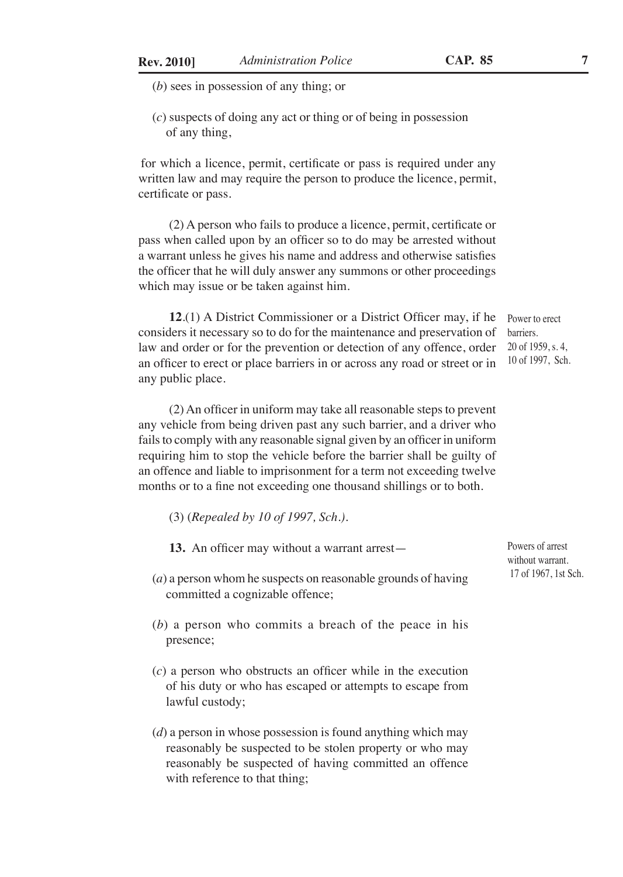(*b*) sees in possession of any thing; or

(*c*) suspects of doing any act or thing or of being in possession of any thing,

for which a licence, permit, certificate or pass is required under any written law and may require the person to produce the licence, permit, certificate or pass.

(2) A person who fails to produce a licence, permit, certificate or pass when called upon by an officer so to do may be arrested without a warrant unless he gives his name and address and otherwise satisfies the officer that he will duly answer any summons or other proceedings which may issue or be taken against him.

**12**.(1) A District Commissioner or a District Officer may, if he considers it necessary so to do for the maintenance and preservation of law and order or for the prevention or detection of any offence, order an officer to erect or place barriers in or across any road or street or in any public place. Power to erect barriers. 20 of 1959, s. 4, 10 of 1997, Sch.

(2) An officer in uniform may take all reasonable steps to prevent any vehicle from being driven past any such barrier, and a driver who fails to comply with any reasonable signal given by an officer in uniform requiring him to stop the vehicle before the barrier shall be guilty of an offence and liable to imprisonment for a term not exceeding twelve months or to a fine not exceeding one thousand shillings or to both.

- (3) (*Repealed by 10 of 1997, Sch.).*
- **13.** An officer may without a warrant arrest—
- (*a*) a person whom he suspects on reasonable grounds of having committed a cognizable offence;
- (*b*) a person who commits a breach of the peace in his presence;
- (*c*) a person who obstructs an officer while in the execution of his duty or who has escaped or attempts to escape from lawful custody;
- (*d*) a person in whose possession is found anything which may reasonably be suspected to be stolen property or who may reasonably be suspected of having committed an offence with reference to that thing;

Powers of arrest without warrant. 17 of 1967, 1st Sch.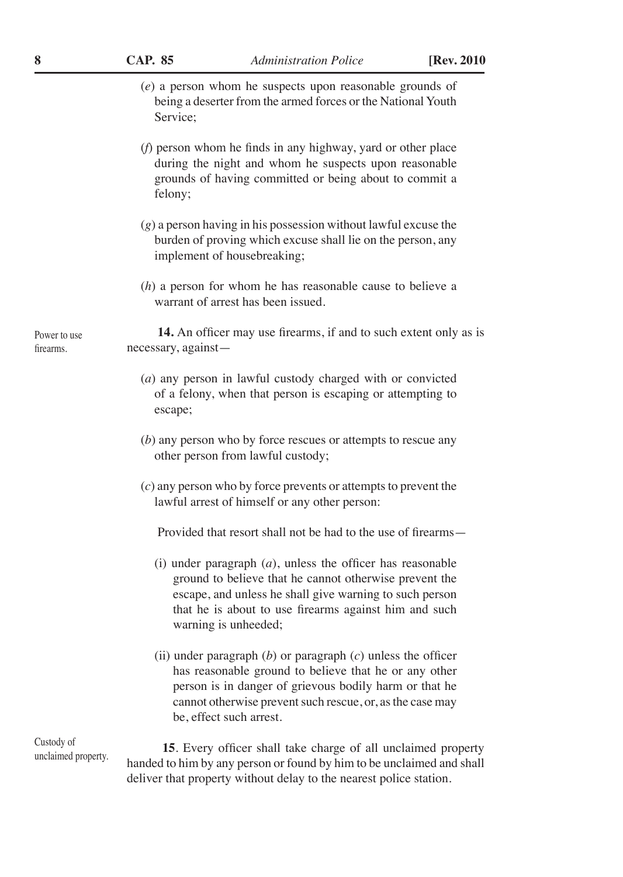|  |  | I)<br>AF | . . <i>.</i><br>85 |
|--|--|----------|--------------------|
|--|--|----------|--------------------|

(*e*) a person whom he suspects upon reasonable grounds of being a deserter from the armed forces or the National Youth Service;

- (*f*) person whom he finds in any highway, yard or other place during the night and whom he suspects upon reasonable grounds of having committed or being about to commit a felony;
- (*g*) a person having in his possession without lawful excuse the burden of proving which excuse shall lie on the person, any implement of housebreaking;
- (*h*) a person for whom he has reasonable cause to believe a warrant of arrest has been issued.

**14.** An officer may use firearms, if and to such extent only as is necessary, against—

- (*a*) any person in lawful custody charged with or convicted of a felony, when that person is escaping or attempting to escape;
- (*b*) any person who by force rescues or attempts to rescue any other person from lawful custody;
- (*c*) any person who by force prevents or attempts to prevent the lawful arrest of himself or any other person:

Provided that resort shall not be had to the use of firearms—

- (i) under paragraph (*a*), unless the officer has reasonable ground to believe that he cannot otherwise prevent the escape, and unless he shall give warning to such person that he is about to use firearms against him and such warning is unheeded;
- (ii) under paragraph (*b*) or paragraph (*c*) unless the officer has reasonable ground to believe that he or any other person is in danger of grievous bodily harm or that he cannot otherwise prevent such rescue, or, as the case may be, effect such arrest.

**15**. Every officer shall take charge of all unclaimed property handed to him by any person or found by him to be unclaimed and shall deliver that property without delay to the nearest police station.

Power to use firearms.

Custody of unclaimed property.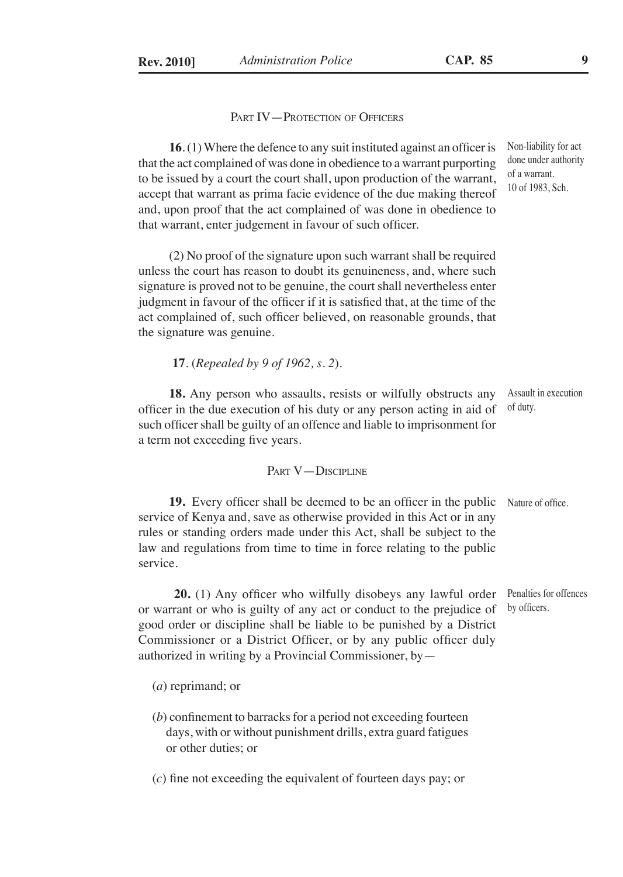PART IV—PROTECTION OF OFFICERS

**16**. (1) Where the defence to any suit instituted against an officer is that the act complained of was done in obedience to a warrant purporting to be issued by a court the court shall, upon production of the warrant, accept that warrant as prima facie evidence of the due making thereof and, upon proof that the act complained of was done in obedience to that warrant, enter judgement in favour of such officer.

(2) No proof of the signature upon such warrant shall be required unless the court has reason to doubt its genuineness, and, where such signature is proved not to be genuine, the court shall nevertheless enter judgment in favour of the officer if it is satisfied that, at the time of the act complained of, such officer believed, on reasonable grounds, that the signature was genuine.

**17**. (*Repealed by 9 of 1962, s. 2*).

**18.** Any person who assaults, resists or wilfully obstructs any officer in the due execution of his duty or any person acting in aid of such officer shall be guilty of an offence and liable to imprisonment for a term not exceeding five years. Assault in execution of duty.

#### PART V-DISCIPLINE

19. Every officer shall be deemed to be an officer in the public Nature of office. service of Kenya and, save as otherwise provided in this Act or in any rules or standing orders made under this Act, shall be subject to the law and regulations from time to time in force relating to the public service.

**20.** (1) Any officer who wilfully disobeys any lawful order or warrant or who is guilty of any act or conduct to the prejudice of good order or discipline shall be liable to be punished by a District Commissioner or a District Officer, or by any public officer duly authorized in writing by a Provincial Commissioner, by—

Penalties for offences by officers.

- (*a*) reprimand; or
- (*b*) confinement to barracks for a period not exceeding fourteen days, with or without punishment drills, extra guard fatigues or other duties; or

(*c*) fine not exceeding the equivalent of fourteen days pay; or

Non-liability for act done under authority of a warrant. 10 of 1983, Sch.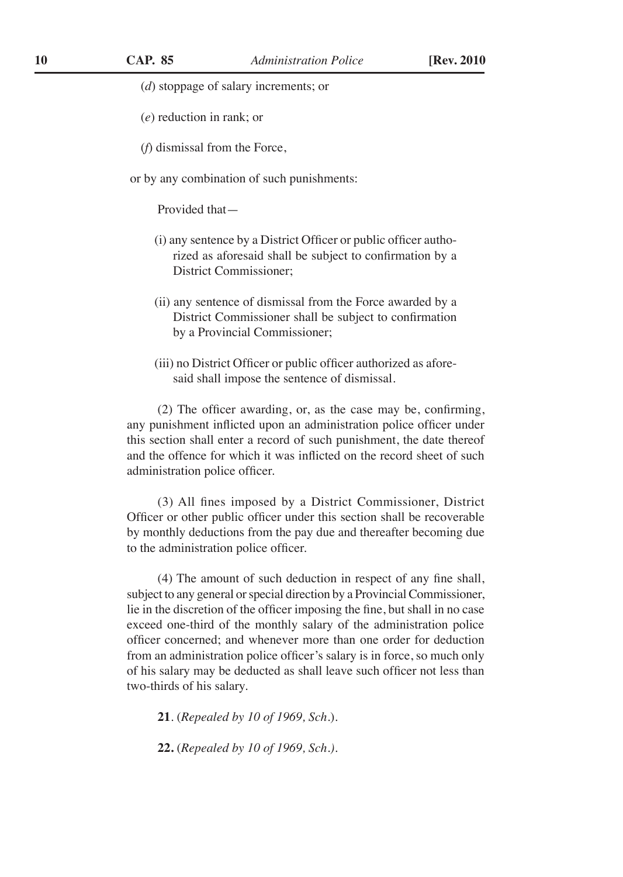- (*d*) stoppage of salary increments; or
- (*e*) reduction in rank; or
- (*f*) dismissal from the Force,

or by any combination of such punishments:

Provided that—

- (i) any sentence by a District Officer or public officer authorized as aforesaid shall be subject to confirmation by a District Commissioner;
- (ii) any sentence of dismissal from the Force awarded by a District Commissioner shall be subject to confirmation by a Provincial Commissioner;
- (iii) no District Officer or public officer authorized as aforesaid shall impose the sentence of dismissal.

(2) The officer awarding, or, as the case may be, confirming, any punishment inflicted upon an administration police officer under this section shall enter a record of such punishment, the date thereof and the offence for which it was inflicted on the record sheet of such administration police officer.

(3) All fines imposed by a District Commissioner, District Officer or other public officer under this section shall be recoverable by monthly deductions from the pay due and thereafter becoming due to the administration police officer.

(4) The amount of such deduction in respect of any fine shall, subject to any general or special direction by a Provincial Commissioner, lie in the discretion of the officer imposing the fine, but shall in no case exceed one-third of the monthly salary of the administration police officer concerned; and whenever more than one order for deduction from an administration police officer's salary is in force, so much only of his salary may be deducted as shall leave such officer not less than two-thirds of his salary.

**21**. (*Repealed by 10 of 1969, Sch.*).

**22.** (*Repealed by 10 of 1969, Sch.).*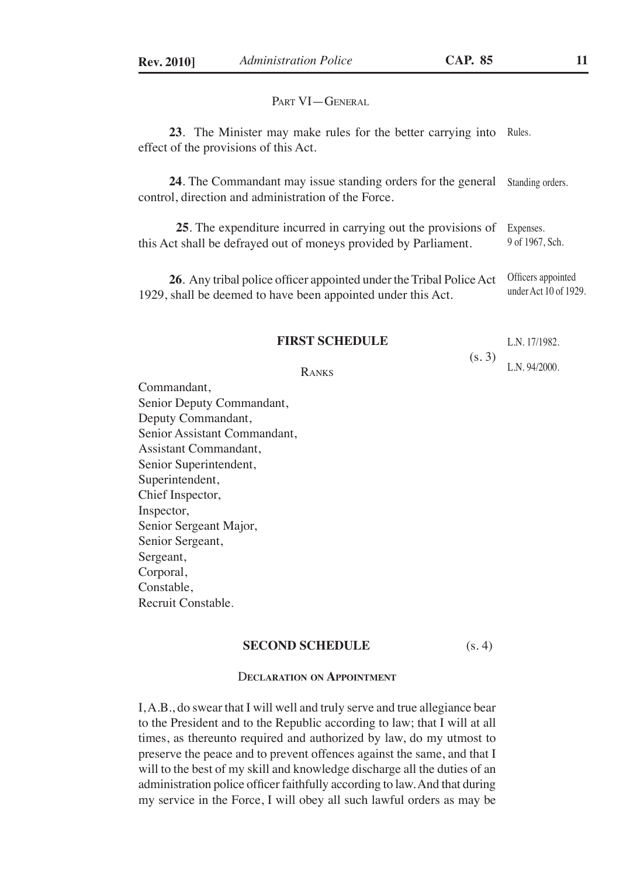PART VI-GENERAL

**23**. The Minister may make rules for the better carrying into Rules. effect of the provisions of this Act.

**24**. The Commandant may issue standing orders for the general control, direction and administration of the Force. Standing orders.

**25**. The expenditure incurred in carrying out the provisions of this Act shall be defrayed out of moneys provided by Parliament. Expenses. 9 of 1967, Sch.

**26**. Any tribal police officer appointed under the Tribal Police Act 1929, shall be deemed to have been appointed under this Act. Officers appointed under Act 10 of 1929.

#### **FIRST SCHEDULE**

(s. 3) L.N. 17/1982. L.N. 94/2000.

Ranks

Commandant, Senior Deputy Commandant, Deputy Commandant, Senior Assistant Commandant, Assistant Commandant, Senior Superintendent, Superintendent, Chief Inspector, Inspector, Senior Sergeant Major, Senior Sergeant, Sergeant, Corporal, Constable, Recruit Constable.

#### **SECOND SCHEDULE** (s. 4)

#### D**eclaration on Appointment**

I, A.B., do swear that I will well and truly serve and true allegiance bear to the President and to the Republic according to law; that I will at all times, as thereunto required and authorized by law, do my utmost to preserve the peace and to prevent offences against the same, and that I will to the best of my skill and knowledge discharge all the duties of an administration police officer faithfully according to law. And that during my service in the Force, I will obey all such lawful orders as may be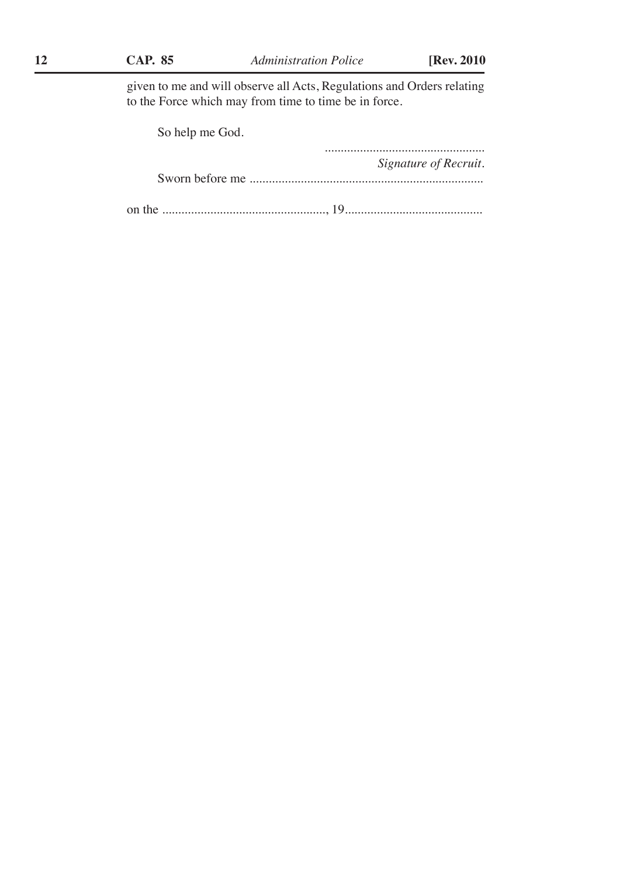given to me and will observe all Acts, Regulations and Orders relating to the Force which may from time to time be in force.

| So help me God. |                       |
|-----------------|-----------------------|
|                 | Signature of Recruit. |
|                 |                       |
|                 |                       |